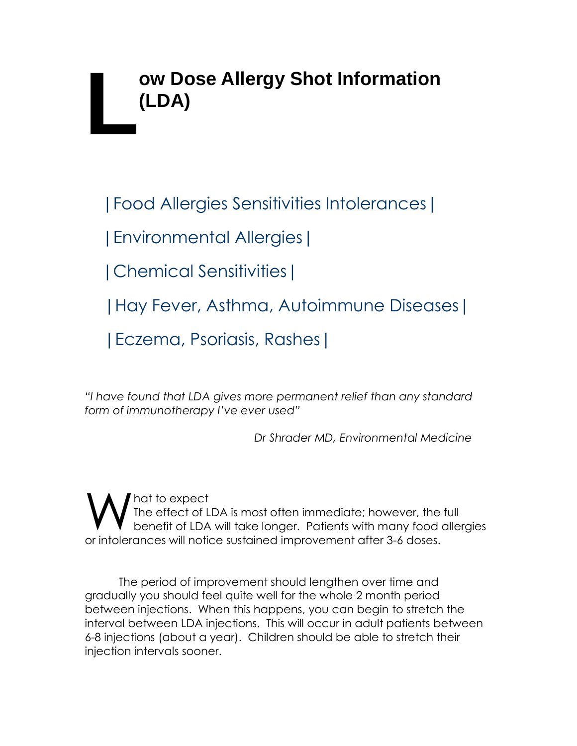# **ow Dose Allergy Shot Information (LDA) L**

|Food Allergies Sensitivities Intolerances|

|Environmental Allergies|

|Chemical Sensitivities|

|Hay Fever, Asthma, Autoimmune Diseases|

|Eczema, Psoriasis, Rashes|

*"I have found that LDA gives more permanent relief than any standard form of immunotherapy I've ever used"*

*Dr Shrader MD, Environmental Medicine* 

hat to expect The effect of LDA is most often immediate; however, the full benefit of LDA will take longer. Patients with many food allergies or intolerances will notice sustained improvement after 3-6 doses. W

The period of improvement should lengthen over time and gradually you should feel quite well for the whole 2 month period between injections. When this happens, you can begin to stretch the interval between LDA injections. This will occur in adult patients between 6-8 injections (about a year). Children should be able to stretch their injection intervals sooner.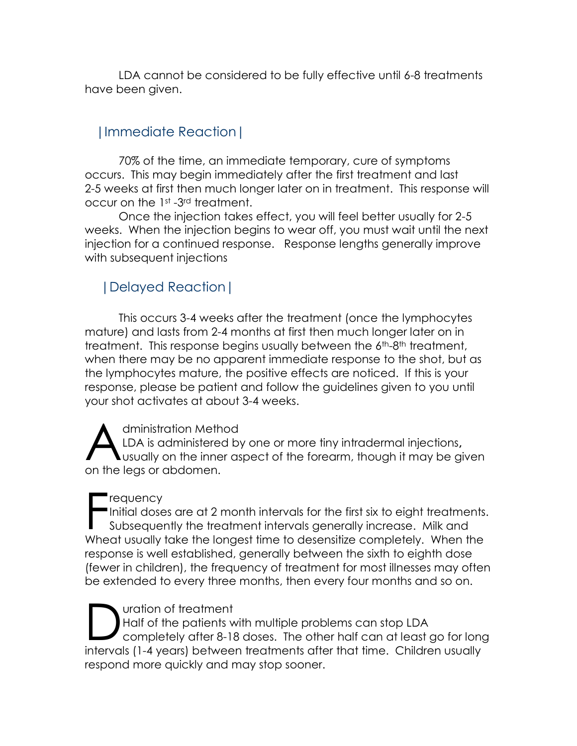LDA cannot be considered to be fully effective until 6-8 treatments have been given.

## |Immediate Reaction|

70% of the time, an immediate temporary, cure of symptoms occurs. This may begin immediately after the first treatment and last 2-5 weeks at first then much longer later on in treatment. This response will occur on the 1st -3rd treatment.

Once the injection takes effect, you will feel better usually for 2-5 weeks. When the injection begins to wear off, you must wait until the next injection for a continued response. Response lengths generally improve with subsequent injections

### |Delayed Reaction|

This occurs 3-4 weeks after the treatment (once the lymphocytes mature) and lasts from 2-4 months at first then much longer later on in treatment. This response begins usually between the 6<sup>th-8th</sup> treatment, when there may be no apparent immediate response to the shot, but as the lymphocytes mature, the positive effects are noticed. If this is your response, please be patient and follow the guidelines given to you until your shot activates at about 3-4 weeks.

dministration Method LDA is administered by one or more tiny intradermal injections**,** usually on the inner aspect of the forearm, though it may be given on the legs or abdomen. A

#### requency

Initial doses are at 2 month intervals for the first six to eight treatments. Subsequently the treatment intervals generally increase. Milk and Wheat usually take the longest time to desensitize completely. When the response is well established, generally between the sixth to eighth dose (fewer in children), the frequency of treatment for most illnesses may often be extended to every three months, then every four months and so on. F

uration of treatment Half of the patients with multiple problems can stop LDA completely after 8-18 doses. The other half can at least go for long intervals (1-4 years) between treatments after that time. Children usually respond more quickly and may stop sooner. D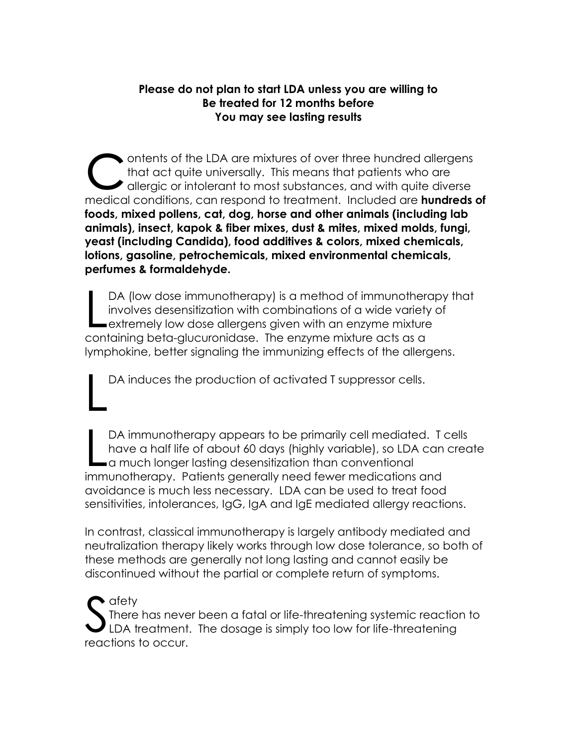#### **Please do not plan to start LDA unless you are willing to Be treated for 12 months before You may see lasting results**

ontents of the LDA are mixtures of over three hundred allergens that act quite universally. This means that patients who are dlergic or intolerant to most substances, and with quite diverse medical conditions, can respond to treatment. Included are **hundreds of foods, mixed pollens, cat, dog, horse and other animals (including lab animals), insect, kapok & fiber mixes, dust & mites, mixed molds, fungi, yeast (including Candida), food additives & colors, mixed chemicals, lotions, gasoline, petrochemicals, mixed environmental chemicals, perfumes & formaldehyde.**  C

DA (low dose immunotherapy) is a method of immunotherapy that involves desensitization with combinations of a wide variety of DA (low dose immunotherapy) is a method of immunothera<br>involves desensitization with combinations of a wide variety<br>extremely low dose allergens given with an enzyme mixture containing beta-glucuronidase. The enzyme mixture acts as a lymphokine, better signaling the immunizing effects of the allergens.

DA induces the production of activated T suppressor cells. L

DA immunotherapy appears to be primarily cell mediated. T cells have a half life of about 60 days (highly variable), so LDA can create DA immunotherapy appears to be primarily cell mediate<br>have a half life of about 60 days (highly variable), so LDA<br>a much longer lasting desensitization than conventional<br>immunotherapy - Patients appearable used for remaind immunotherapy. Patients generally need fewer medications and avoidance is much less necessary. LDA can be used to treat food sensitivities, intolerances, IgG, IgA and IgE mediated allergy reactions.

In contrast, classical immunotherapy is largely antibody mediated and neutralization therapy likely works through low dose tolerance, so both of these methods are generally not long lasting and cannot easily be discontinued without the partial or complete return of symptoms.

 $\bullet$  afety There has never been a fatal or life-threatening systemic reaction to LDA treatment. The dosage is simply too low for life-threatening reactions to occur. S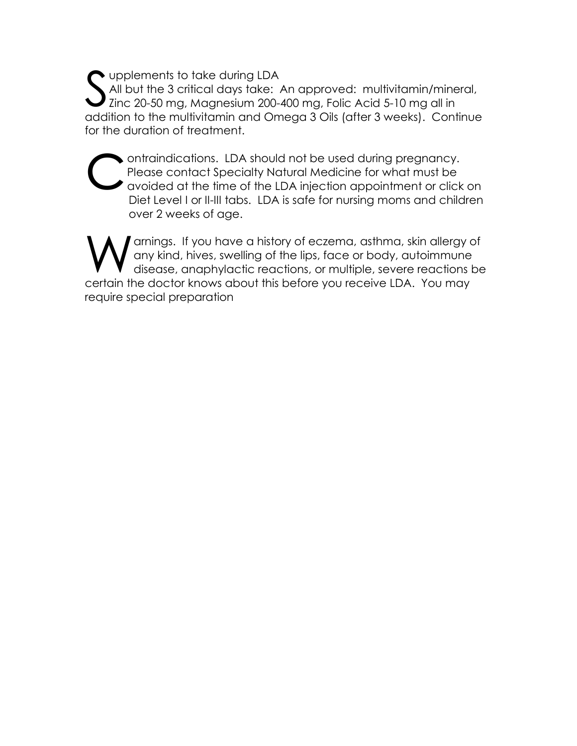upplements to take during LDA All but the 3 critical days take: An approved: multivitamin/mineral, I Zinc 20-50 mg, Magnesium 200-400 mg, Folic Acid 5-10 mg all in addition to the multivitamin and Omega 3 Oils (after 3 weeks). Continue for the duration of treatment. S

ontraindications. LDA should not be used during pregnancy. Please contact Specialty Natural Medicine for what must be avoided at the time of the LDA injection appointment or click on Diet Level I or II-III tabs. LDA is safe for nursing moms and children over 2 weeks of age. c

arnings. If you have a history of eczema, asthma, skin allergy of any kind, hives, swelling of the lips, face or body, autoimmune disease, anaphylactic reactions, or multiple, severe reactions be certain the doctor knows about this before you receive LDA. You may require special preparation W<sub>ww</sub>